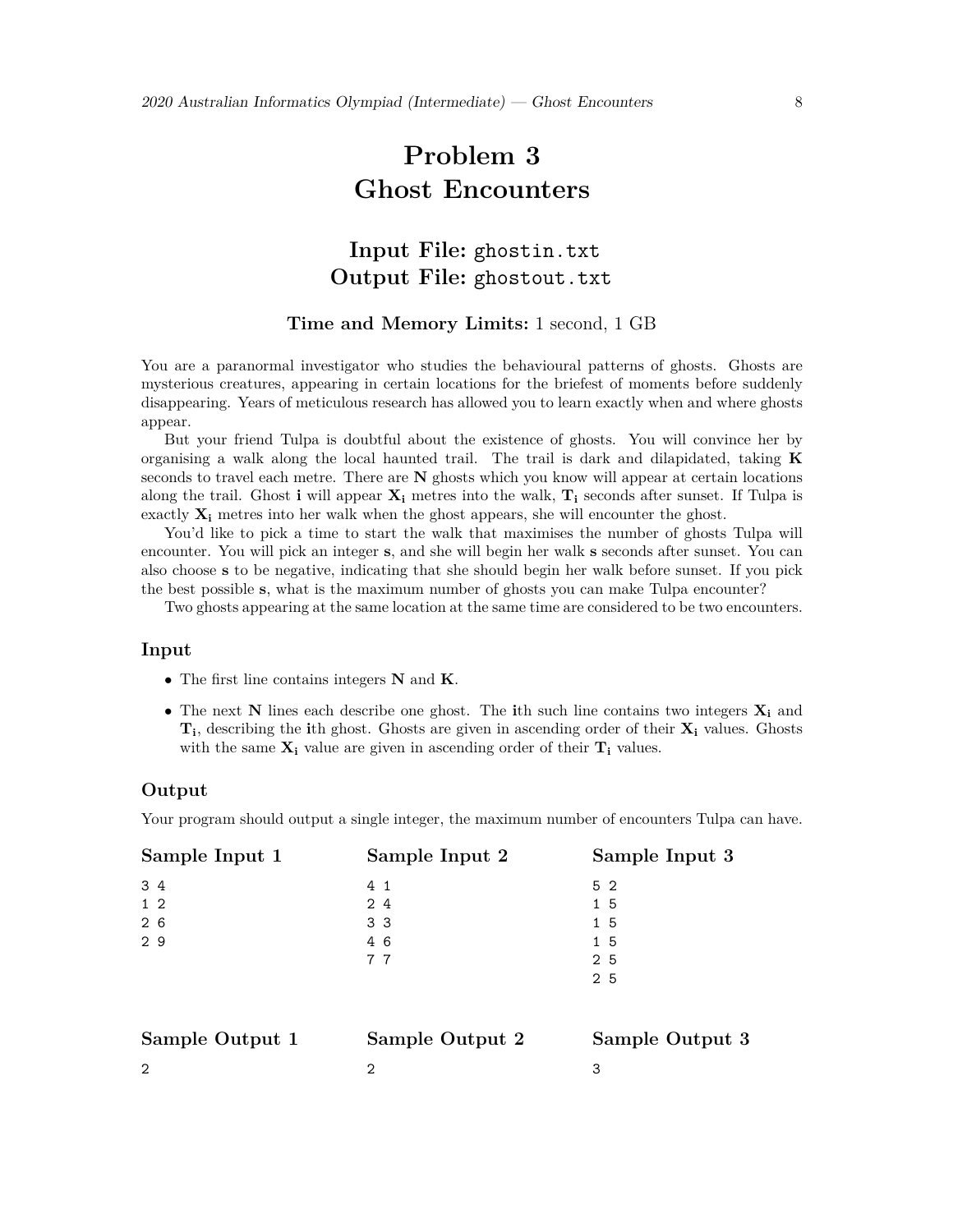# **Problem 3 Ghost Encounters**

# **Input File:** ghostin.txt **Output File:** ghostout.txt

## **Time and Memory Limits:** 1 second, 1 GB

You are a paranormal investigator who studies the behavioural patterns of ghosts. Ghosts are mysterious creatures, appearing in certain locations for the briefest of moments before suddenly disappearing. Years of meticulous research has allowed you to learn exactly when and where ghosts appear.

But your friend Tulpa is doubtful about the existence of ghosts. You will convince her by organising a walk along the local haunted trail. The trail is dark and dilapidated, taking **K** seconds to travel each metre. There are **N** ghosts which you know will appear at certain locations along the trail. Ghost **i** will appear  $\mathbf{X}_i$  metres into the walk,  $\mathbf{T}_i$  seconds after sunset. If Tulpa is exactly  $\mathbf{X}_i$  metres into her walk when the ghost appears, she will encounter the ghost.

You'd like to pick a time to start the walk that maximises the number of ghosts Tulpa will encounter. You will pick an integer **s**, and she will begin her walk **s** seconds after sunset. You can also choose **s** to be negative, indicating that she should begin her walk before sunset. If you pick the best possible **s**, what is the maximum number of ghosts you can make Tulpa encounter?

Two ghosts appearing at the same location at the same time are considered to be two encounters.

#### **Input**

- *•* The first line contains integers **N** and **K**.
- *•* The next **N** lines each describe one ghost. The **i**th such line contains two integers **X<sup>i</sup>** and **Ti**, describing the **i**th ghost. Ghosts are given in ascending order of their **X<sup>i</sup>** values. Ghosts with the same  $\mathbf{X}_i$  value are given in ascending order of their  $\mathbf{T}_i$  values.

#### **Output**

Your program should output a single integer, the maximum number of encounters Tulpa can have.

| Sample Input 1  | Sample Input 2  | Sample Input 3  |
|-----------------|-----------------|-----------------|
| 3 4             | 4 <sub>1</sub>  | 5 2             |
| $1\quad2$       | 24              | 1 5             |
| 26              | 33              | 1 5             |
| 29              | 46              | 1 5             |
|                 | 77              | 2 5             |
|                 |                 | 2 5             |
|                 |                 |                 |
| Sample Output 1 | Sample Output 2 | Sample Output 3 |
| $\overline{2}$  | 2               | 3               |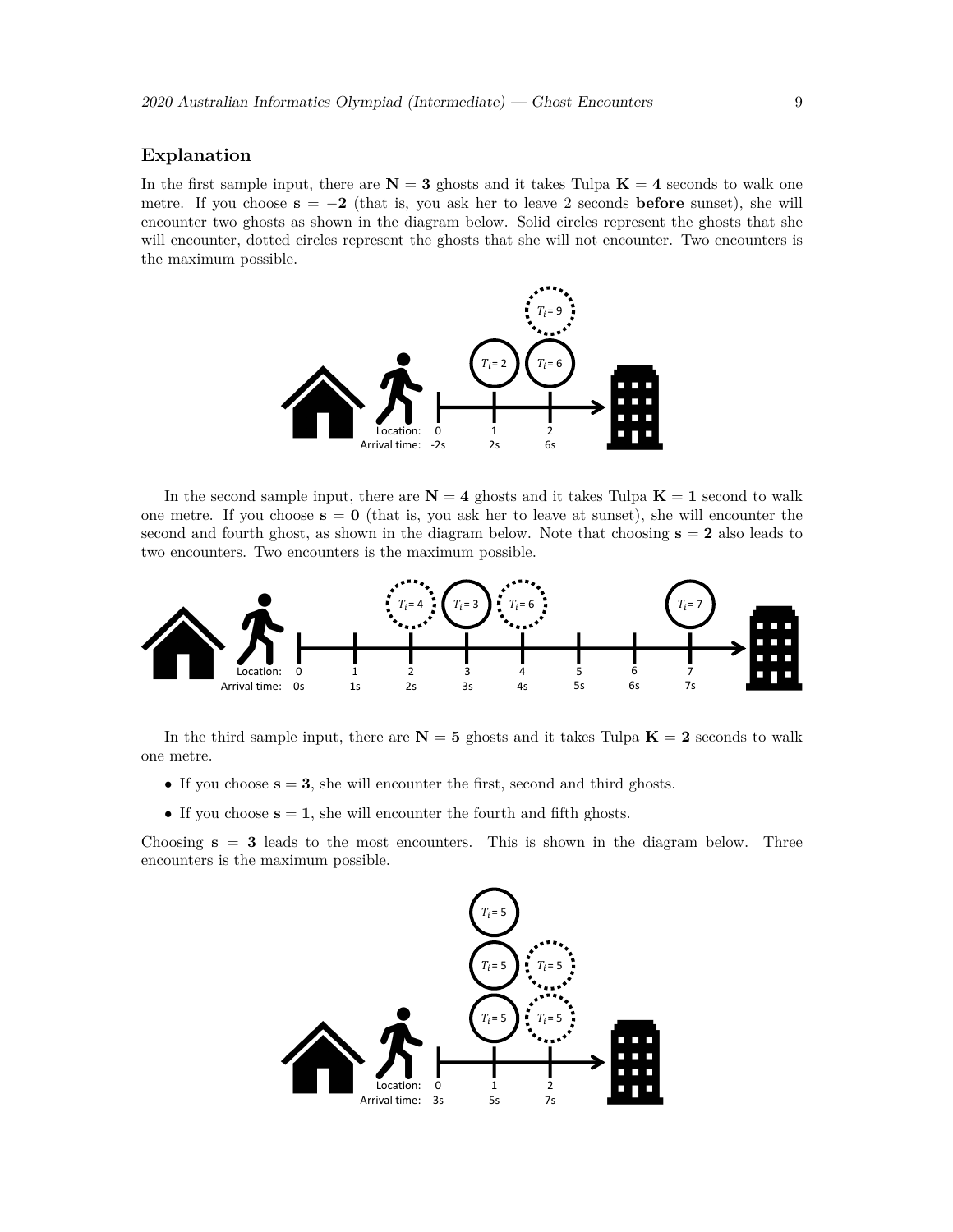#### **Explanation**

In the first sample input, there are  $N = 3$  ghosts and it takes Tulpa  $K = 4$  seconds to walk one metre. If you choose  $s = -2$  (that is, you ask her to leave 2 seconds **before** sunset), she will encounter two ghosts as shown in the diagram below. Solid circles represent the ghosts that she will encounter, dotted circles represent the ghosts that she will not encounter. Two encounters is the maximum possible.



In the second sample input, there are  $N = 4$  ghosts and it takes Tulpa  $K = 1$  second to walk one metre. If you choose  $s = 0$  (that is, you ask her to leave at sunset), she will encounter the second and fourth ghost, as shown in the diagram below. Note that choosing  $s = 2$  also leads to two encounters. Two encounters is the maximum possible.



In the third sample input, there are  $N = 5$  ghosts and it takes Tulpa  $K = 2$  seconds to walk one metre.

- If you choose  $s = 3$ , she will encounter the first, second and third ghosts.
- $\bullet$  If you choose  $\mathbf{s} = \mathbf{1}$ , she will encounter the fourth and fifth ghosts.

Choosing  $s = 3$  leads to the most encounters. This is shown in the diagram below. Three encounters is the maximum possible.